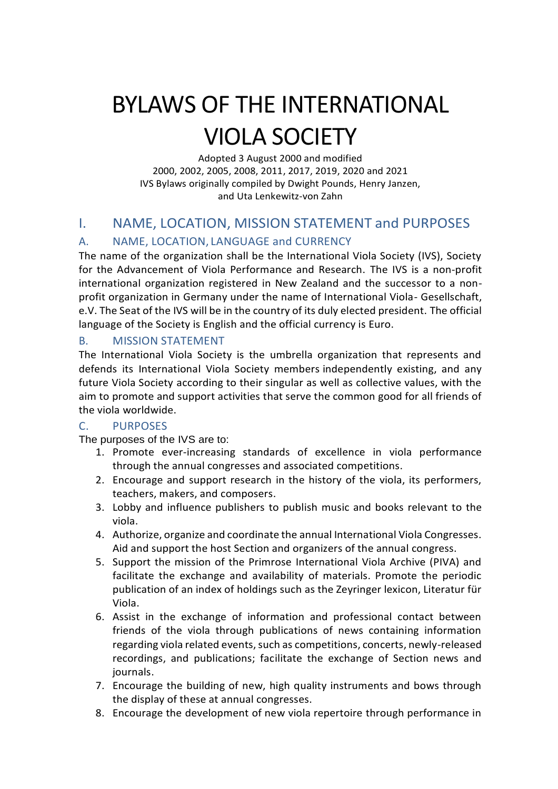# BYLAWS OF THE INTERNATIONAL VIOLA SOCIETY

Adopted 3 August 2000 and modified 2000, 2002, 2005, 2008, 2011, 2017, 2019, 2020 and 2021 IVS Bylaws originally compiled by Dwight Pounds, Henry Janzen, and Uta Lenkewitz-von Zahn

# I. NAME, LOCATION, MISSION STATEMENT and PURPOSES

# A. NAME, LOCATION, LANGUAGE and CURRENCY

The name of the organization shall be the International Viola Society (IVS), Society for the Advancement of Viola Performance and Research. The IVS is a non-profit international organization registered in New Zealand and the successor to a nonprofit organization in Germany under the name of International Viola- Gesellschaft, e.V. The Seat of the IVS will be in the country of its duly elected president. The official language of the Society is English and the official currency is Euro.

## B. MISSION STATEMENT

The International Viola Society is the umbrella organization that represents and defends its International Viola Society members independently existing, and any future Viola Society according to their singular as well as collective values, with the aim to promote and support activities that serve the common good for all friends of the viola worldwide.

## C. PURPOSES

The purposes of the IVS are to:

- 1. Promote ever-increasing standards of excellence in viola performance through the annual congresses and associated competitions.
- 2. Encourage and support research in the history of the viola, its performers, teachers, makers, and composers.
- 3. Lobby and influence publishers to publish music and books relevant to the viola.
- 4. Authorize, organize and coordinate the annual International Viola Congresses. Aid and support the host Section and organizers of the annual congress.
- 5. Support the mission of the Primrose International Viola Archive (PIVA) and facilitate the exchange and availability of materials. Promote the periodic publication of an index of holdings such as the Zeyringer lexicon, Literatur für Viola.
- 6. Assist in the exchange of information and professional contact between friends of the viola through publications of news containing information regarding viola related events, such as competitions, concerts, newly-released recordings, and publications; facilitate the exchange of Section news and journals.
- 7. Encourage the building of new, high quality instruments and bows through the display of these at annual congresses.
- 8. Encourage the development of new viola repertoire through performance in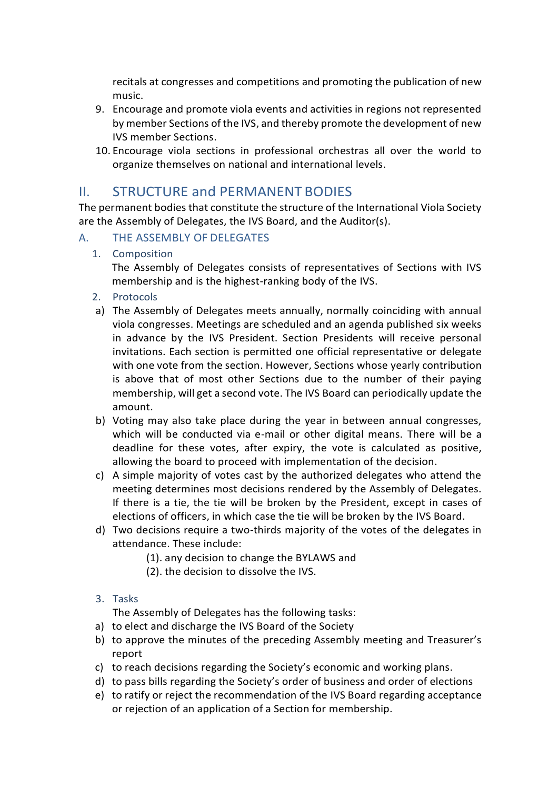recitals at congresses and competitions and promoting the publication of new music.

- 9. Encourage and promote viola events and activities in regions not represented by member Sections of the IVS, and thereby promote the development of new IVS member Sections.
- 10. Encourage viola sections in professional orchestras all over the world to organize themselves on national and international levels.

# II. STRUCTURE and PERMANENT BODIES

The permanent bodies that constitute the structure of the International Viola Society are the Assembly of Delegates, the IVS Board, and the Auditor(s).

#### A. THE ASSEMBLY OF DELEGATES

1. Composition

The Assembly of Delegates consists of representatives of Sections with IVS membership and is the highest-ranking body of the IVS.

- 2. Protocols
- a) The Assembly of Delegates meets annually, normally coinciding with annual viola congresses. Meetings are scheduled and an agenda published six weeks in advance by the IVS President. Section Presidents will receive personal invitations. Each section is permitted one official representative or delegate with one vote from the section. However, Sections whose yearly contribution is above that of most other Sections due to the number of their paying membership, will get a second vote. The IVS Board can periodically update the amount.
- b) Voting may also take place during the year in between annual congresses, which will be conducted via e-mail or other digital means. There will be a deadline for these votes, after expiry, the vote is calculated as positive, allowing the board to proceed with implementation of the decision.
- c) A simple majority of votes cast by the authorized delegates who attend the meeting determines most decisions rendered by the Assembly of Delegates. If there is a tie, the tie will be broken by the President, except in cases of elections of officers, in which case the tie will be broken by the IVS Board.
- d) Two decisions require a two-thirds majority of the votes of the delegates in attendance. These include:
	- (1). any decision to change the BYLAWS and
	- (2). the decision to dissolve the IVS.
- 3. Tasks

The Assembly of Delegates has the following tasks:

- a) to elect and discharge the IVS Board of the Society
- b) to approve the minutes of the preceding Assembly meeting and Treasurer's report
- c) to reach decisions regarding the Society's economic and working plans.
- d) to pass bills regarding the Society's order of business and order of elections
- e) to ratify or reject the recommendation of the IVS Board regarding acceptance or rejection of an application of a Section for membership.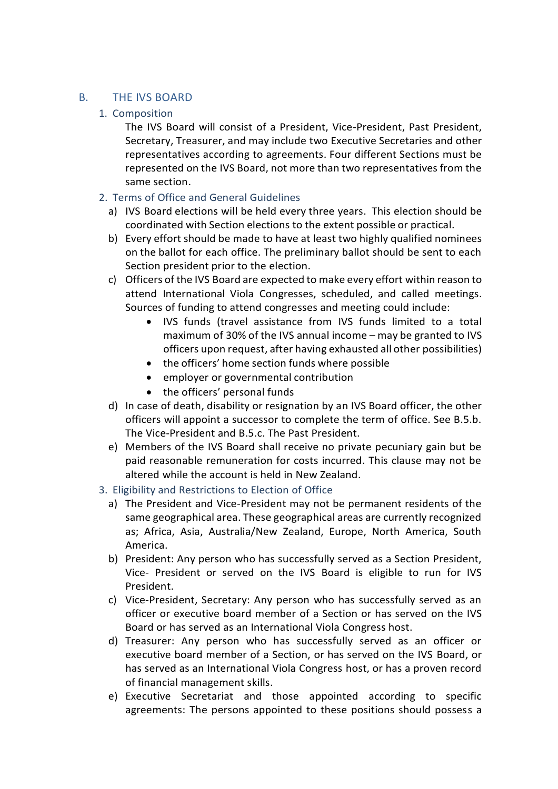#### B. THE IVS BOARD

#### 1. Composition

The IVS Board will consist of a President, Vice-President, Past President, Secretary, Treasurer, and may include two Executive Secretaries and other representatives according to agreements. Four different Sections must be represented on the IVS Board, not more than two representatives from the same section.

#### 2. Terms of Office and General Guidelines

- a) IVS Board elections will be held every three years. This election should be coordinated with Section elections to the extent possible or practical.
- b) Every effort should be made to have at least two highly qualified nominees on the ballot for each office. The preliminary ballot should be sent to each Section president prior to the election.
- c) Officers of the IVS Board are expected to make every effort within reason to attend International Viola Congresses, scheduled, and called meetings. Sources of funding to attend congresses and meeting could include:
	- IVS funds (travel assistance from IVS funds limited to a total maximum of 30% of the IVS annual income – may be granted to IVS officers upon request, after having exhausted all other possibilities)
	- the officers' home section funds where possible
	- employer or governmental contribution
	- the officers' personal funds
- d) In case of death, disability or resignation by an IVS Board officer, the other officers will appoint a successor to complete the term of office. See B.5.b. The Vice-President and B.5.c. The Past President.
- e) Members of the IVS Board shall receive no private pecuniary gain but be paid reasonable remuneration for costs incurred. This clause may not be altered while the account is held in New Zealand.
- 3. Eligibility and Restrictions to Election of Office
	- a) The President and Vice-President may not be permanent residents of the same geographical area. These geographical areas are currently recognized as; Africa, Asia, Australia/New Zealand, Europe, North America, South America.
	- b) President: Any person who has successfully served as a Section President, Vice- President or served on the IVS Board is eligible to run for IVS President.
	- c) Vice-President, Secretary: Any person who has successfully served as an officer or executive board member of a Section or has served on the IVS Board or has served as an International Viola Congress host.
	- d) Treasurer: Any person who has successfully served as an officer or executive board member of a Section, or has served on the IVS Board, or has served as an International Viola Congress host, or has a proven record of financial management skills.
	- e) Executive Secretariat and those appointed according to specific agreements: The persons appointed to these positions should possess a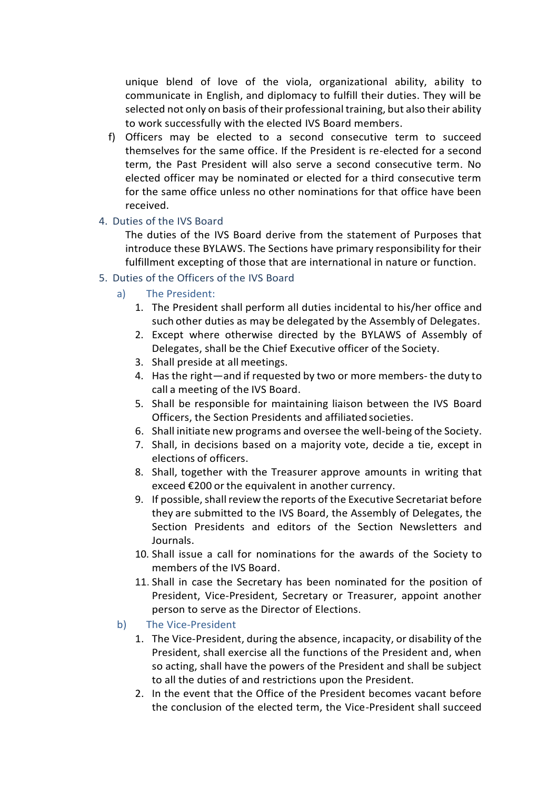unique blend of love of the viola, organizational ability, ability to communicate in English, and diplomacy to fulfill their duties. They will be selected not only on basis of their professional training, but also their ability to work successfully with the elected IVS Board members.

- f) Officers may be elected to a second consecutive term to succeed themselves for the same office. If the President is re-elected for a second term, the Past President will also serve a second consecutive term. No elected officer may be nominated or elected for a third consecutive term for the same office unless no other nominations for that office have been received.
- 4. Duties of the IVS Board

The duties of the IVS Board derive from the statement of Purposes that introduce these BYLAWS. The Sections have primary responsibility for their fulfillment excepting of those that are international in nature or function.

- 5. Duties of the Officers of the IVS Board
	- a) The President:
		- 1. The President shall perform all duties incidental to his/her office and such other duties as may be delegated by the Assembly of Delegates.
		- 2. Except where otherwise directed by the BYLAWS of Assembly of Delegates, shall be the Chief Executive officer of the Society.
		- 3. Shall preside at all meetings.
		- 4. Has the right—and if requested by two or more members- the duty to call a meeting of the IVS Board.
		- 5. Shall be responsible for maintaining liaison between the IVS Board Officers, the Section Presidents and affiliated societies.
		- 6. Shall initiate new programs and oversee the well-being of the Society.
		- 7. Shall, in decisions based on a majority vote, decide a tie, except in elections of officers.
		- 8. Shall, together with the Treasurer approve amounts in writing that exceed €200 or the equivalent in another currency.
		- 9. If possible, shall review the reports of the Executive Secretariat before they are submitted to the IVS Board, the Assembly of Delegates, the Section Presidents and editors of the Section Newsletters and Journals.
		- 10. Shall issue a call for nominations for the awards of the Society to members of the IVS Board.
		- 11. Shall in case the Secretary has been nominated for the position of President, Vice-President, Secretary or Treasurer, appoint another person to serve as the Director of Elections.
	- b) The Vice-President
		- 1. The Vice-President, during the absence, incapacity, or disability of the President, shall exercise all the functions of the President and, when so acting, shall have the powers of the President and shall be subject to all the duties of and restrictions upon the President.
		- 2. In the event that the Office of the President becomes vacant before the conclusion of the elected term, the Vice-President shall succeed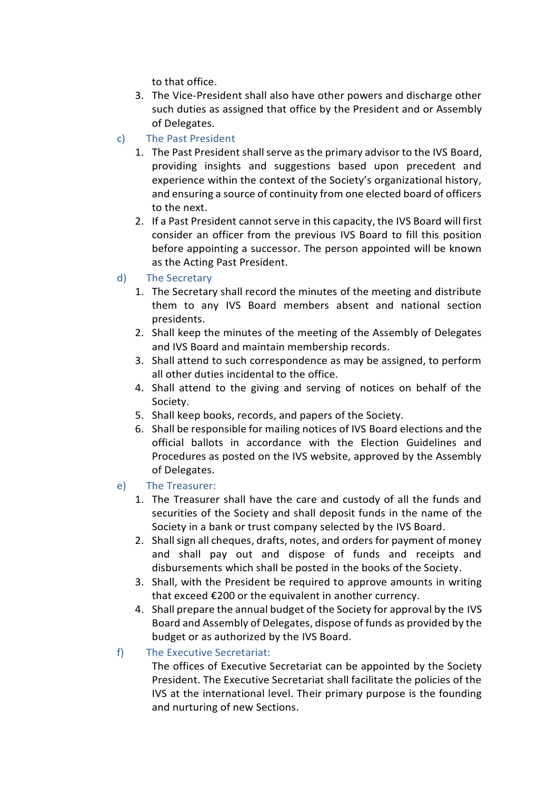to that office.

- 3. The Vice-President shall also have other powers and discharge other such duties as assigned that office by the President and or Assembly of Delegates.
- c) The Past President
	- 1. The Past President shall serve as the primary advisor to the IVS Board, providing insights and suggestions based upon precedent and experience within the context of the Society's organizational history, and ensuring a source of continuity from one elected board of officers to the next.
	- 2. If a Past President cannot serve in this capacity, the IVS Board will first consider an officer from the previous IVS Board to fill this position before appointing a successor. The person appointed will be known as the Acting Past President.
- d) The Secretary
	- 1. The Secretary shall record the minutes of the meeting and distribute them to any IVS Board members absent and national section presidents.
	- 2. Shall keep the minutes of the meeting of the Assembly of Delegates and IVS Board and maintain membership records.
	- 3. Shall attend to such correspondence as may be assigned, to perform all other duties incidental to the office.
	- 4. Shall attend to the giving and serving of notices on behalf of the Society.
	- 5. Shall keep books, records, and papers of the Society.
	- 6. Shall be responsible for mailing notices of IVS Board elections and the official ballots in accordance with the Election Guidelines and Procedures as posted on the IVS website, approved by the Assembly of Delegates.
- e) The Treasurer:
	- 1. The Treasurer shall have the care and custody of all the funds and securities of the Society and shall deposit funds in the name of the Society in a bank or trust company selected by the IVS Board.
	- 2. Shall sign all cheques, drafts, notes, and orders for payment of money and shall pay out and dispose of funds and receipts and disbursements which shall be posted in the books of the Society.
	- 3. Shall, with the President be required to approve amounts in writing that exceed €200 or the equivalent in another currency.
	- 4. Shall prepare the annual budget of the Society for approval by the IVS Board and Assembly of Delegates, dispose of funds as provided by the budget or as authorized by the IVS Board.
- f) The Executive Secretariat:

The offices of Executive Secretariat can be appointed by the Society President. The Executive Secretariat shall facilitate the policies of the IVS at the international level. Their primary purpose is the founding and nurturing of new Sections.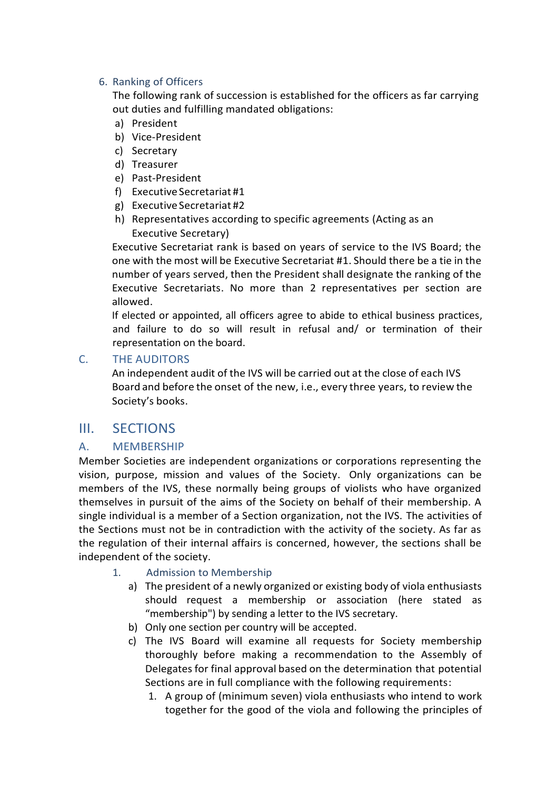#### 6. Ranking of Officers

The following rank of succession is established for the officers as far carrying out duties and fulfilling mandated obligations:

- a) President
- b) Vice-President
- c) Secretary
- d) Treasurer
- e) Past-President
- f) Executive Secretariat #1
- g) Executive Secretariat #2
- h) Representatives according to specific agreements (Acting as an Executive Secretary)

Executive Secretariat rank is based on years of service to the IVS Board; the one with the most will be Executive Secretariat #1. Should there be a tie in the number of years served, then the President shall designate the ranking of the Executive Secretariats. No more than 2 representatives per section are allowed.

If elected or appointed, all officers agree to abide to ethical business practices, and failure to do so will result in refusal and/ or termination of their representation on the board.

#### C. THE AUDITORS

An independent audit of the IVS will be carried out at the close of each IVS Board and before the onset of the new, i.e., every three years, to review the Society's books.

# III. SECTIONS

## A. MEMBERSHIP

Member Societies are independent organizations or corporations representing the vision, purpose, mission and values of the Society. Only organizations can be members of the IVS, these normally being groups of violists who have organized themselves in pursuit of the aims of the Society on behalf of their membership. A single individual is a member of a Section organization, not the IVS. The activities of the Sections must not be in contradiction with the activity of the society. As far as the regulation of their internal affairs is concerned, however, the sections shall be independent of the society.

- 1. Admission to Membership
	- a) The president of a newly organized or existing body of viola enthusiasts should request a membership or association (here stated as "membership") by sending a letter to the IVS secretary.
	- b) Only one section per country will be accepted.
	- c) The IVS Board will examine all requests for Society membership thoroughly before making a recommendation to the Assembly of Delegates for final approval based on the determination that potential Sections are in full compliance with the following requirements:
		- 1. A group of (minimum seven) viola enthusiasts who intend to work together for the good of the viola and following the principles of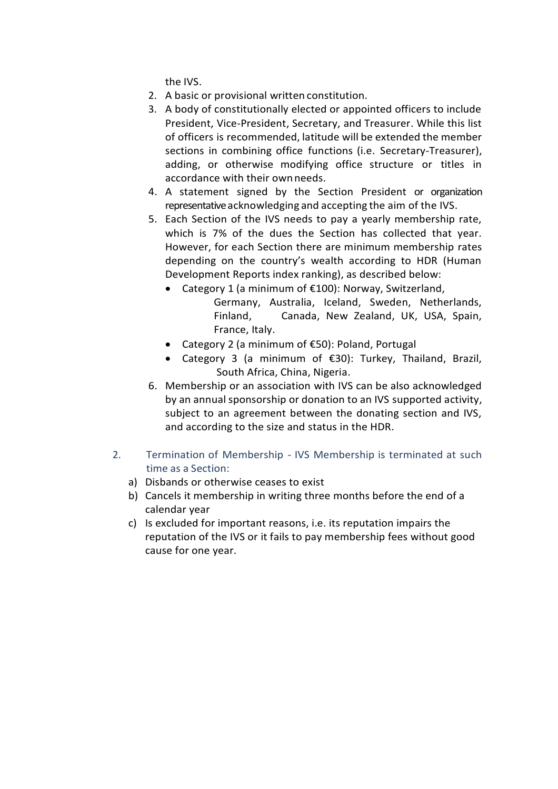the IVS.

- 2. A basic or provisional written constitution.
- 3. A body of constitutionally elected or appointed officers to include President, Vice-President, Secretary, and Treasurer. While this list of officers is recommended, latitude will be extended the member sections in combining office functions (i.e. Secretary-Treasurer), adding, or otherwise modifying office structure or titles in accordance with their ownneeds.
- 4. A statement signed by the Section President or organization representative acknowledging and accepting the aim of the IVS.
- 5. Each Section of the IVS needs to pay a yearly membership rate, which is 7% of the dues the Section has collected that year. However, for each Section there are minimum membership rates depending on the country's wealth according to HDR (Human Development Reports index ranking), as described below:
	- Category 1 (a minimum of €100): Norway, Switzerland,
		- Germany, Australia, Iceland, Sweden, Netherlands, Finland, Canada, New Zealand, UK, USA, Spain, France, Italy.
	- Category 2 (a minimum of €50): Poland, Portugal
	- Category 3 (a minimum of €30): Turkey, Thailand, Brazil, South Africa, China, Nigeria.
- 6. Membership or an association with IVS can be also acknowledged by an annual sponsorship or donation to an IVS supported activity, subject to an agreement between the donating section and IVS, and according to the size and status in the HDR.
- 2. Termination of Membership IVS Membership is terminated at such time as a Section:
	- a) Disbands or otherwise ceases to exist
	- b) Cancels it membership in writing three months before the end of a calendar year
	- c) Is excluded for important reasons, i.e. its reputation impairs the reputation of the IVS or it fails to pay membership fees without good cause for one year.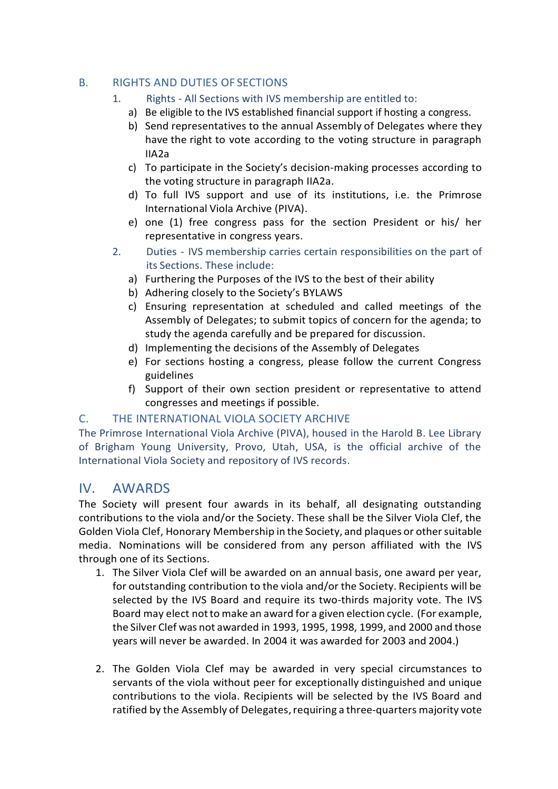### B. RIGHTS AND DUTIES OF SECTIONS

- 1. Rights All Sections with IVS membership are entitled to:
	- a) Be eligible to the IVS established financial support if hosting a congress.
	- b) Send representatives to the annual Assembly of Delegates where they have the right to vote according to the voting structure in paragraph IIA2a
	- c) To participate in the Society's decision-making processes according to the voting structure in paragraph IIA2a.
	- d) To full IVS support and use of its institutions, i.e. the Primrose International Viola Archive (PIVA).
	- e) one (1) free congress pass for the section President or his/ her representative in congress years.
- 2. Duties IVS membership carries certain responsibilities on the part of its Sections. These include:
	- a) Furthering the Purposes of the IVS to the best of their ability
	- b) Adhering closely to the Society's BYLAWS
	- c) Ensuring representation at scheduled and called meetings of the Assembly of Delegates; to submit topics of concern for the agenda; to study the agenda carefully and be prepared for discussion.
	- d) Implementing the decisions of the Assembly of Delegates
	- e) For sections hosting a congress, please follow the current Congress guidelines
	- f) Support of their own section president or representative to attend congresses and meetings if possible.

## C. THE INTERNATIONAL VIOLA SOCIETY ARCHIVE

The Primrose International Viola Archive (PIVA), housed in the Harold B. Lee Library of Brigham Young University, Provo, Utah, USA, is the official archive of the International Viola Society and repository of IVS records.

# IV. AWARDS

The Society will present four awards in its behalf, all designating outstanding contributions to the viola and/or the Society. These shall be the Silver Viola Clef, the Golden Viola Clef, Honorary Membership in the Society, and plaques or other suitable media. Nominations will be considered from any person affiliated with the IVS through one of its Sections.

- 1. The Silver Viola Clef will be awarded on an annual basis, one award per year, for outstanding contribution to the viola and/or the Society. Recipients will be selected by the IVS Board and require its two-thirds majority vote. The IVS Board may elect not to make an award for a given election cycle. (For example, the Silver Clef was not awarded in 1993, 1995, 1998, 1999, and 2000 and those years will never be awarded. In 2004 it was awarded for 2003 and 2004.)
- 2. The Golden Viola Clef may be awarded in very special circumstances to servants of the viola without peer for exceptionally distinguished and unique contributions to the viola. Recipients will be selected by the IVS Board and ratified by the Assembly of Delegates, requiring a three-quarters majority vote